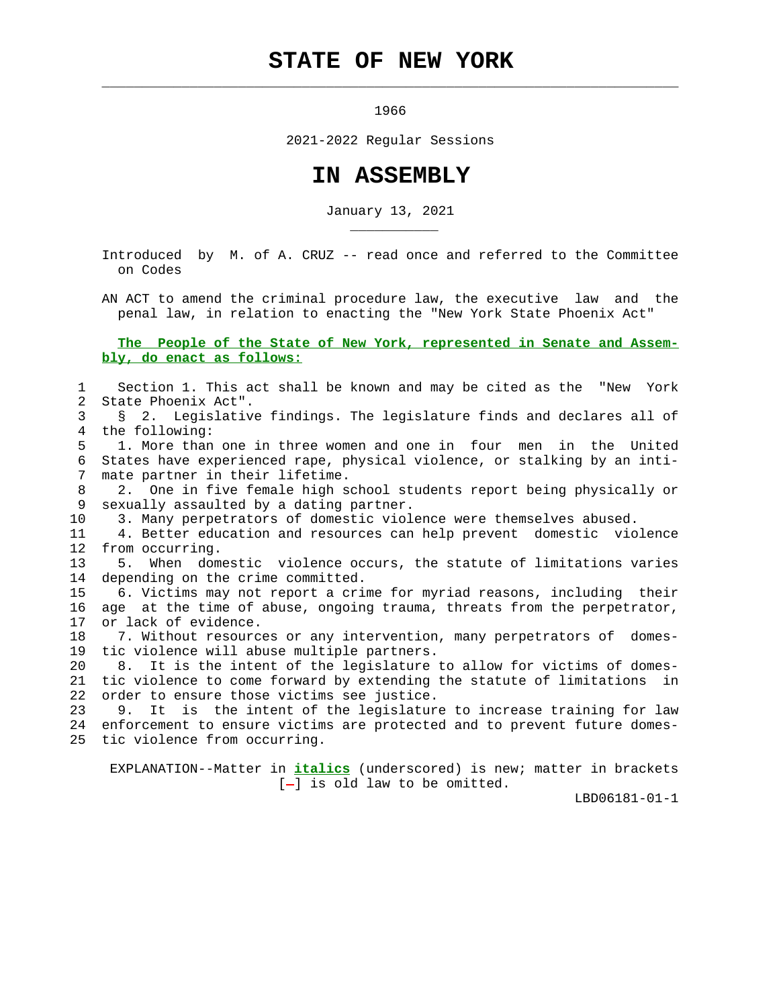## **STATE OF NEW YORK**

 $\mathcal{L}_\text{max} = \frac{1}{2} \sum_{i=1}^{n} \frac{1}{2} \sum_{i=1}^{n} \frac{1}{2} \sum_{i=1}^{n} \frac{1}{2} \sum_{i=1}^{n} \frac{1}{2} \sum_{i=1}^{n} \frac{1}{2} \sum_{i=1}^{n} \frac{1}{2} \sum_{i=1}^{n} \frac{1}{2} \sum_{i=1}^{n} \frac{1}{2} \sum_{i=1}^{n} \frac{1}{2} \sum_{i=1}^{n} \frac{1}{2} \sum_{i=1}^{n} \frac{1}{2} \sum_{i=1}^{n} \frac{1$ 

\_\_\_\_\_\_\_\_\_\_\_

1966

2021-2022 Regular Sessions

## **IN ASSEMBLY**

January 13, 2021

 Introduced by M. of A. CRUZ -- read once and referred to the Committee on Codes

 AN ACT to amend the criminal procedure law, the executive law and the penal law, in relation to enacting the "New York State Phoenix Act"

## **The People of the State of New York, represented in Senate and Assem bly, do enact as follows:**

 1 Section 1. This act shall be known and may be cited as the "New York 2 State Phoenix Act".

 3 § 2. Legislative findings. The legislature finds and declares all of 4 the following:

 5 1. More than one in three women and one in four men in the United 6 States have experienced rape, physical violence, or stalking by an inti- 7 mate partner in their lifetime.

 8 2. One in five female high school students report being physically or 9 sexually assaulted by a dating partner.

10 3. Many perpetrators of domestic violence were themselves abused.

 11 4. Better education and resources can help prevent domestic violence 12 from occurring.

 13 5. When domestic violence occurs, the statute of limitations varies 14 depending on the crime committed.

 15 6. Victims may not report a crime for myriad reasons, including their 16 age at the time of abuse, ongoing trauma, threats from the perpetrator, 17 or lack of evidence.

 18 7. Without resources or any intervention, many perpetrators of domes- 19 tic violence will abuse multiple partners.

 20 8. It is the intent of the legislature to allow for victims of domes- 21 tic violence to come forward by extending the statute of limitations in 22 order to ensure those victims see justice.

 23 9. It is the intent of the legislature to increase training for law 24 enforcement to ensure victims are protected and to prevent future domes- 25 tic violence from occurring.

 EXPLANATION--Matter in **italics** (underscored) is new; matter in brackets  $[-]$  is old law to be omitted.

LBD06181-01-1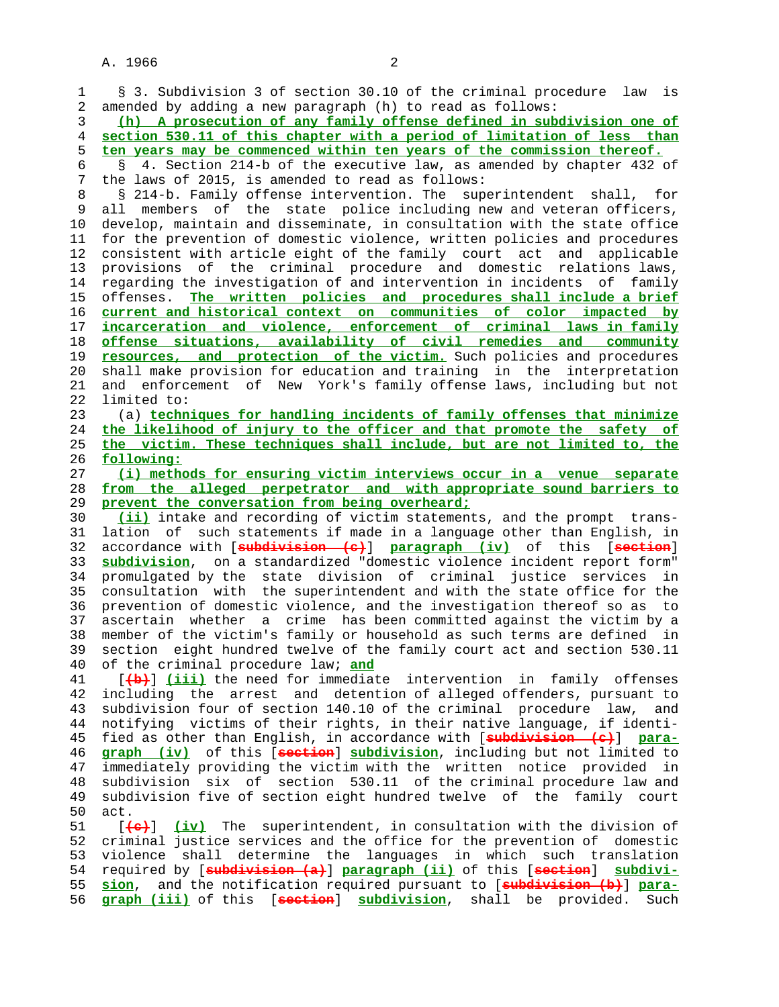1 § 3. Subdivision 3 of section 30.10 of the criminal procedure law is 2 amended by adding a new paragraph (h) to read as follows: 3 **(h) A prosecution of any family offense defined in subdivision one of** 4 **section 530.11 of this chapter with a period of limitation of less than** 5 **ten years may be commenced within ten years of the commission thereof.** 6 § 4. Section 214-b of the executive law, as amended by chapter 432 of 7 the laws of 2015, is amended to read as follows: 8 § 214-b. Family offense intervention. The superintendent shall, for<br>9 all members of the state police including new and veteran officers. all members of the state police including new and veteran officers, 10 develop, maintain and disseminate, in consultation with the state office 11 for the prevention of domestic violence, written policies and procedures 12 consistent with article eight of the family court act and applicable 13 provisions of the criminal procedure and domestic relations laws, 14 regarding the investigation of and intervention in incidents of family 15 offenses. **The written policies and procedures shall include a brief** 16 **current and historical context on communities of color impacted by** 17 **incarceration and violence, enforcement of criminal laws in family** 18 **offense situations, availability of civil remedies and community** 19 **resources, and protection of the victim.** Such policies and procedures 20 shall make provision for education and training in the interpretation 21 and enforcement of New York's family offense laws, including but not 22 limited to: 23 (a) **techniques for handling incidents of family offenses that minimize** 24 **the likelihood of injury to the officer and that promote the safety of** 25 **the victim. These techniques shall include, but are not limited to, the** 26 **following:** 27 **(i) methods for ensuring victim interviews occur in a venue separate** 28 **from the alleged perpetrator and with appropriate sound barriers to** 29 **prevent the conversation from being overheard;** 30 **(ii)** intake and recording of victim statements, and the prompt trans- 31 lation of such statements if made in a language other than English, in 32 accordance with [**subdivision (c)**] **paragraph (iv)** of this [**section**] 33 **subdivision**, on a standardized "domestic violence incident report form" 34 promulgated by the state division of criminal justice services in 35 consultation with the superintendent and with the state office for the 36 prevention of domestic violence, and the investigation thereof so as to 37 ascertain whether a crime has been committed against the victim by a 38 member of the victim's family or household as such terms are defined in 39 section eight hundred twelve of the family court act and section 530.11 40 of the criminal procedure law; **and** 41 [**(b)**] **(iii)** the need for immediate intervention in family offenses 42 including the arrest and detention of alleged offenders, pursuant to 43 subdivision four of section 140.10 of the criminal procedure law, and 44 notifying victims of their rights, in their native language, if identi- 45 fied as other than English, in accordance with [**subdivision (c)**] **para-** 46 **graph (iv)** of this [**section**] **subdivision**, including but not limited to 47 immediately providing the victim with the written notice provided in 48 subdivision six of section 530.11 of the criminal procedure law and<br>49 subdivision five of section eight hundred twelve of the family court subdivision five of section eight hundred twelve of the family court 50 act. 51 [**(c)**] **(iv)** The superintendent, in consultation with the division of 52 criminal justice services and the office for the prevention of domestic 53 violence shall determine the languages in which such translation 54 required by [**subdivision (a)**] **paragraph (ii)** of this [**section**] **subdivi-** 55 **sion**, and the notification required pursuant to [**subdivision (b)**] **para-** 56 **graph (iii)** of this [**section**] **subdivision**, shall be provided. Such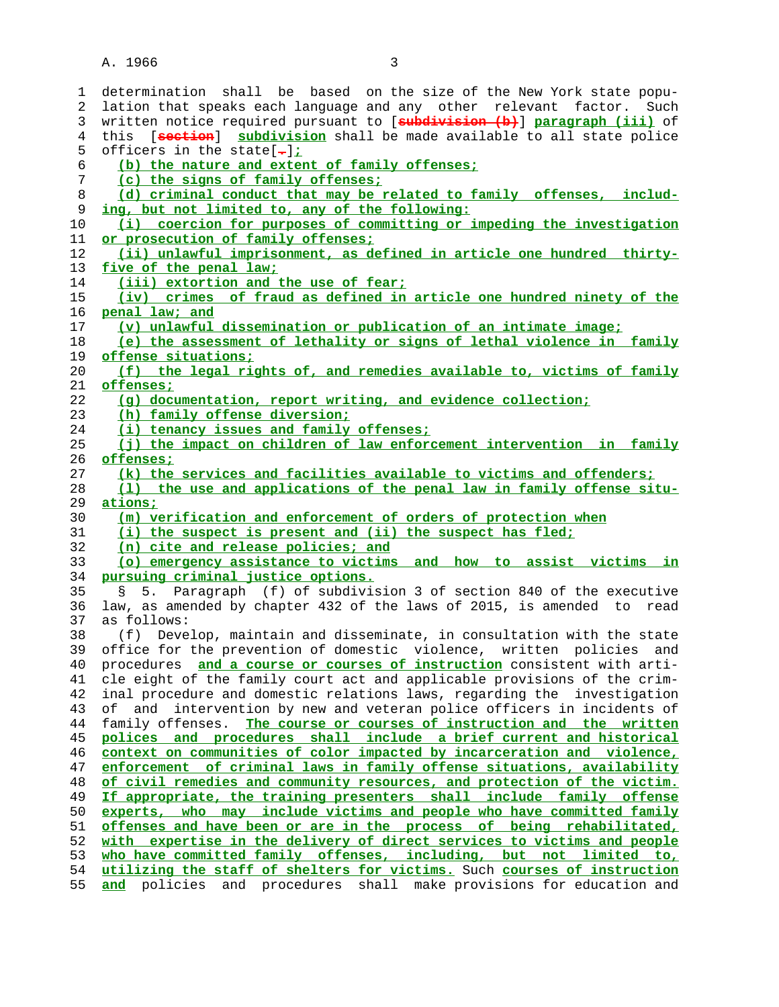A. 1966 3

| 1        | determination shall be based on the size of the New York state popu-                                                                            |
|----------|-------------------------------------------------------------------------------------------------------------------------------------------------|
| 2        | lation that speaks each language and any other relevant factor. Such                                                                            |
| 3        | written notice required pursuant to [subdivision (b)] paragraph (iii) of                                                                        |
| 4        | [seotion] subdivision shall be made available to all state police<br>this                                                                       |
| 5        | officers in the state $\lceil - \rceil$ :                                                                                                       |
| 6        | (b) the nature and extent of family offenses;                                                                                                   |
| 7        | (c) the signs of family offenses;                                                                                                               |
| 8        | (d) criminal conduct that may be related to family offenses, includ-                                                                            |
| 9        | ing, but not limited to, any of the following:                                                                                                  |
| 10       | (i) coercion for purposes of committing or impeding the investigation                                                                           |
| 11       | or prosecution of family offenses:                                                                                                              |
| 12       | (ii) unlawful imprisonment, as defined in article one hundred thirty-                                                                           |
| 13       | five of the penal law;                                                                                                                          |
| 14       | (iii) extortion and the use of fear;                                                                                                            |
| 15       | (iv) crimes of fraud as defined in article one hundred ninety of the                                                                            |
| 16       | penal law; and                                                                                                                                  |
| 17       | (v) unlawful dissemination or publication of an intimate image;                                                                                 |
| 18       | (e) the assessment of lethality or signs of lethal violence in family                                                                           |
| 19       | offense situations;                                                                                                                             |
| 20       | (f) the legal rights of, and remedies available to, victims of family                                                                           |
| 21       | <u>offenses:</u>                                                                                                                                |
| 22       | (q) documentation, report writing, and evidence collection;                                                                                     |
| 23       | (h) family offense diversion;                                                                                                                   |
| 24       | (i) tenancy issues and family offenses;                                                                                                         |
| 25       | (j) the impact on children of law enforcement intervention in family                                                                            |
| 26       | offenses;                                                                                                                                       |
| 27       | (k) the services and facilities available to victims and offenders;                                                                             |
| 28       | (1) the use and applications of the penal law in family offense situ-                                                                           |
|          |                                                                                                                                                 |
|          |                                                                                                                                                 |
| 29       | <u>ations;</u>                                                                                                                                  |
| 30       | (m) verification and enforcement of orders of protection when                                                                                   |
| 31       | (i) the suspect is present and (ii) the suspect has fled;                                                                                       |
| 32       | (n) cite and release policies; and                                                                                                              |
| 33       | (o) emergency assistance to victims and how to assist victims in                                                                                |
| 34       | pursuing criminal justice options.                                                                                                              |
| 35       | § 5. Paragraph (f) of subdivision 3 of section 840 of the executive                                                                             |
| 36       | law, as amended by chapter 432 of the laws of 2015, is amended to read                                                                          |
| 37       | as follows:                                                                                                                                     |
| 38       | (f) Develop, maintain and disseminate, in consultation with the state                                                                           |
| 39       | office for the prevention of domestic violence, written policies and                                                                            |
| 40       | procedures and a course or courses of instruction consistent with arti-                                                                         |
| 41       | cle eight of the family court act and applicable provisions of the crim-                                                                        |
| 42       | inal procedure and domestic relations laws, regarding the investigation                                                                         |
| 43       | intervention by new and veteran police officers in incidents of<br>оf<br>and                                                                    |
| 44       | The course or courses of instruction and the written<br>family offenses.                                                                        |
| 45       | polices and procedures shall include a brief current and historical                                                                             |
| 46       | context on communities of color impacted by incarceration and violence,                                                                         |
| 47       | enforcement of criminal laws in family offense situations, availability                                                                         |
| 48       | of civil remedies and community resources, and protection of the victim.                                                                        |
| 49       | If appropriate, the training presenters shall include family offense                                                                            |
| 50       | who may include victims and people who have committed family<br>experts,                                                                        |
| 51       | offenses and have been or are in the process of being rehabilitated,                                                                            |
| 52       | with expertise in the delivery of direct services to victims and people                                                                         |
| 53       | who have committed family offenses, including, but not limited to,                                                                              |
| 54<br>55 | utilizing the staff of shelters for victims. Such courses of instruction<br>and policies and procedures shall make provisions for education and |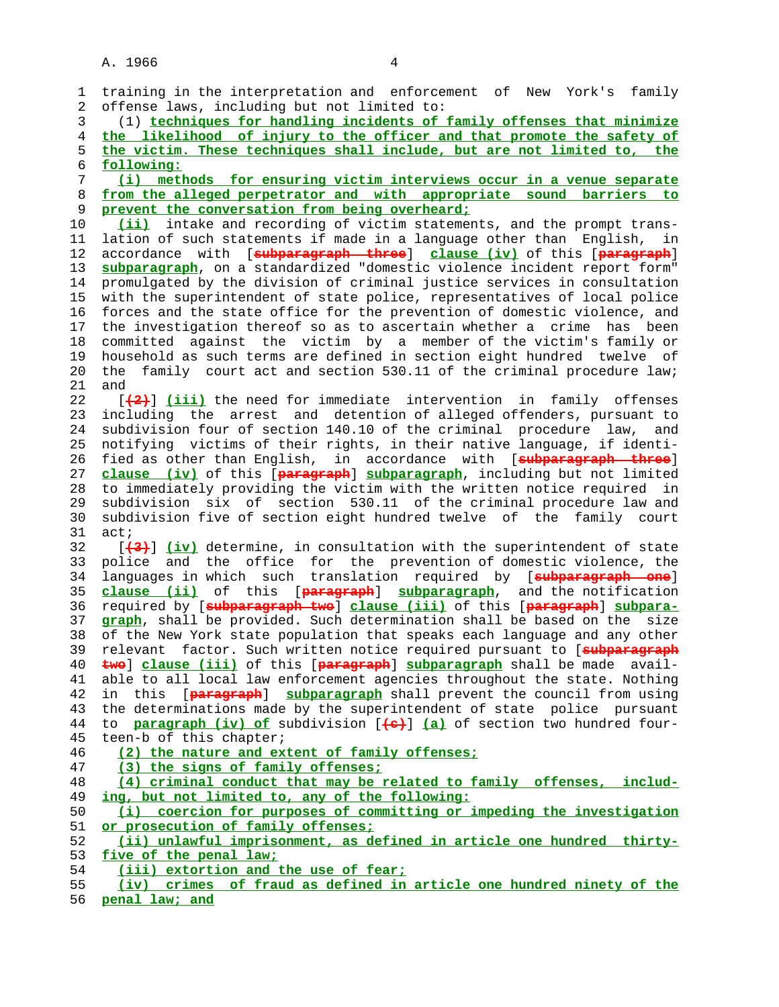| 1  | training in the interpretation and enforcement of New York's family           |
|----|-------------------------------------------------------------------------------|
| 2  | offense laws, including but not limited to:                                   |
| 3  | (1) techniques for handling incidents of family offenses that minimize        |
| 4  | the likelihood of injury to the officer and that promote the safety of        |
| 5  | the victim. These techniques shall include, but are not limited to, the       |
| 6  | following:                                                                    |
| 7  | (i) methods for ensuring victim interviews occur in a venue separate          |
| 8  | from the alleged perpetrator and with appropriate sound barriers to           |
| 9  | prevent the conversation from being overheard;                                |
| 10 | (ii) intake and recording of victim statements, and the prompt trans-         |
| 11 | lation of such statements if made in a language other than English, in        |
| 12 | accordance with [oubparagraph three] clause (iv) of this [paragraph]          |
| 13 | subparagraph, on a standardized "domestic violence incident report form"      |
| 14 | promulgated by the division of criminal justice services in consultation      |
| 15 | with the superintendent of state police, representatives of local police      |
| 16 | forces and the state office for the prevention of domestic violence, and      |
| 17 | the investigation thereof so as to ascertain whether a crime has been         |
| 18 | committed against the victim by a member of the victim's family or            |
| 19 | household as such terms are defined in section eight hundred twelve of        |
| 20 | family court act and section 530.11 of the criminal procedure law;<br>the     |
| 21 | and                                                                           |
| 22 | [(2)] (iii) the need for immediate intervention in family offenses            |
| 23 | including the arrest and detention of alleged offenders, pursuant to          |
| 24 | subdivision four of section 140.10 of the criminal procedure law, and         |
| 25 | notifying victims of their rights, in their native language, if identi-       |
| 26 | fied as other than English, in accordance with [oubparagraph three]           |
| 27 | clause (iv) of this [paragraph] subparagraph, including but not limited       |
| 28 | to immediately providing the victim with the written notice required in       |
| 29 | subdivision six of section 530.11 of the criminal procedure law and           |
| 30 | subdivision five of section eight hundred twelve of the family court          |
| 31 | act;                                                                          |
| 32 | [(3) [iv] determine, in consultation with the superintendent of state         |
| 33 | police and the office for the prevention of domestic violence, the            |
| 34 | languages in which such translation required by [subparagraph one]            |
| 35 | clause (ii) of this [paragraph] subparagraph, and the notification            |
| 36 | required by [subparagraph two] clause (iii) of this [paragraph] subpara-      |
| 37 | graph, shall be provided. Such determination shall be based on the<br>size    |
| 38 | of the New York state population that speaks each language and any other      |
| 39 | relevant factor. Such written notice required pursuant to [subparagraph       |
| 40 | twe] clause (iii) of this [paragraph] subparagraph shall be made avail-       |
| 41 | able to all local law enforcement agencies throughout the state. Nothing      |
| 42 | in this [paragraph] subparagraph shall prevent the council from using         |
| 43 | the determinations made by the superintendent of state police pursuant        |
| 44 | to <b>paragraph (iv) of</b> subdivision [(a) (a) of section two hundred four- |
| 45 | teen-b of this chapter;                                                       |
| 46 | (2) the nature and extent of family offenses;                                 |
| 47 | (3) the signs of family offenses;                                             |
| 48 | (4) criminal conduct that may be related to family offenses, includ-          |
| 49 | ing, but not limited to, any of the following:                                |
| 50 | coercion for purposes of committing or impeding the investigation<br>(i)      |
| 51 | or prosecution of family offenses;                                            |
| 52 | (ii) unlawful imprisonment, as defined in article one hundred thirty-         |
| 53 | five of the penal law;                                                        |
| 54 | (iii) extortion and the use of fear;                                          |
| 55 | (iv) crimes of fraud as defined in article one hundred ninety of the          |
| 56 | penal law; and                                                                |